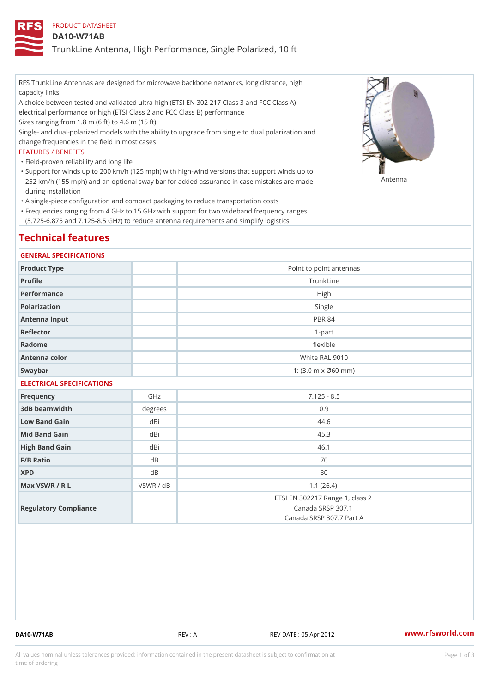# PRODUCT DATASHEET

## DA10-W71AB

TrunkLine Antenna, High Performance, Single Polarized, 10 ft

RFS TrunkLine Antennas are designed for microwave backbone networks, long distance, high capacity links

A choice between tested and validated ultra-high (ETSI EN 302 217 Class 3 and FCC Class A) electrical performance or high (ETSI Class 2 and FCC Class B) performance

Sizes ranging from 1.8 m (6 ft) to 4.6 m (15 ft)

Single- and dual-polarized models with the ability to upgrade from single to dual polarization and change frequencies in the field in most cases

### FEATURES / BENEFITS

"Field-proven reliability and long life

- Support for winds up to 200 km/h (125 mph) with high-wind versions that support winds up to " 252 km/h (155 mph) and an optional sway bar for added assurance in case m S # \$ R & B are made during installation
- "A single-piece configuration and compact packaging to reduce transportation costs
- Frequencies ranging from 4 GHz to 15 GHz with support for two wideband frequency ranges " (5.725-6.875 and 7.125-8.5 GHz) to reduce antenna requirements and simplify logistics

# Technical features

#### GENERAL SPECIFICATIONS

| Product Type  | Point to point antennas                                 |
|---------------|---------------------------------------------------------|
| Profile       | TrunkLine                                               |
| Performance   | High                                                    |
| Polarization  | Single                                                  |
| Antenna Input | <b>PBR 84</b>                                           |
| Reflector     | $1-part$                                                |
| Radome        | flexible                                                |
| Antenna color | White RAL 9010                                          |
| Swaybar       | 1: $(3.0 \, \text{m} \times \emptyset 60 \, \text{mm})$ |

# ELECTRICAL SPECIFICATIONS

| Frequency             | GHz        | $7.125 - 8.5$                                                                    |
|-----------------------|------------|----------------------------------------------------------------------------------|
| 3dB beamwidth         | $degree$ : | 0.9                                                                              |
| Low Band Gain         | dBi        | 44.6                                                                             |
| Mid Band Gain         | dBi        | 45.3                                                                             |
| High Band Gain        | dBi        | 46.1                                                                             |
| $F/B$ Ratio           | d B        | 70                                                                               |
| <b>XPD</b>            | d B        | 30                                                                               |
| Max VSWR / R L        | VSWR / dB  | 1.1(26.4)                                                                        |
| Regulatory Compliance |            | ETSI EN 302217 Range 1, class 2<br>Canada SRSP 307.1<br>Canada SRSP 307.7 Part A |

DA10-W71AB REV : A REV DATE : 05 Apr 2012 [www.](https://www.rfsworld.com)rfsworld.com

All values nominal unless tolerances provided; information contained in the present datasheet is subject to Pcapgeign mation time of ordering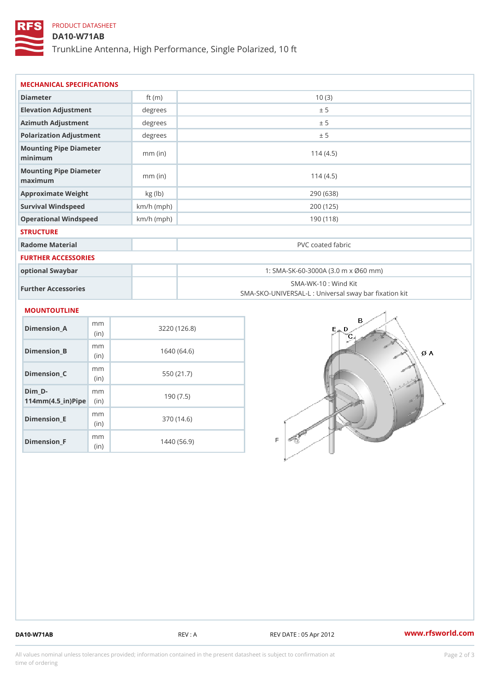# PRODUCT DATASHEET

# DA10-W71AB

TrunkLine Antenna, High Performance, Single Polarized, 10 ft

| MECHANICAL SPECIFICATIONS                                    |             |              |                                                                          |  |
|--------------------------------------------------------------|-------------|--------------|--------------------------------------------------------------------------|--|
| Diameter                                                     |             | ft $(m)$     | 10(3)                                                                    |  |
| Elevation Adjustment                                         |             | degrees      | ± 5                                                                      |  |
| Azimuth Adjustment                                           |             | degrees      | ± 5                                                                      |  |
| Polarization Adjustment                                      |             | degrees      | ± 5                                                                      |  |
| Mounting Pipe Diameter<br>minimum                            |             | $mm$ (in)    | 114(4.5)                                                                 |  |
| Mounting Pipe Diameter<br>maximum                            |             | $mm$ (in)    | 114(4.5)                                                                 |  |
| Approximate Weight                                           |             | kg (lb)      | 290 (638)                                                                |  |
| Survival Windspeed                                           |             | $km/h$ (mph) | 200 (125)                                                                |  |
| Operational Windspeed                                        |             | $km/h$ (mph) | 190(118)                                                                 |  |
| <b>STRUCTURE</b>                                             |             |              |                                                                          |  |
| Radome Material                                              |             |              | PVC coated fabric                                                        |  |
| FURTHER ACCESSORIES                                          |             |              |                                                                          |  |
| optional Swaybar                                             |             |              | 1: SMA-SK-60-3000A (3.0 m x Ø60 mm)                                      |  |
| Further Accessories                                          |             |              | SMA-WK-10: Wind Kit<br>SMA-SKO-UNIVERSAL-L : Universal sway bar fixation |  |
| MOUNTOUTLINE                                                 |             |              |                                                                          |  |
| Dimension_A                                                  | m m<br>(in) |              | 3220(126.8)                                                              |  |
| $Dimension_B$                                                | m m<br>(in) |              | 1640(64.6)                                                               |  |
| Dimension_C                                                  | m m<br>(in) |              | 550 (21.7)                                                               |  |
| $Dim_D -$<br>$114$ m m (4.5_ir) $\mathbb{R}$ in $\mathbb{R}$ | m m         |              | 190(7.5)                                                                 |  |
| <b>Brand Controller</b>                                      | m m         |              | 0.701410                                                                 |  |

Dimension\_E

Dimension\_F

(in)

m<sub>m</sub> (in)

370 (14.6)

1440 (56.9)

DA10-W71AB REV : A REV DATE : 05 Apr 2012 [www.](https://www.rfsworld.com)rfsworld.com